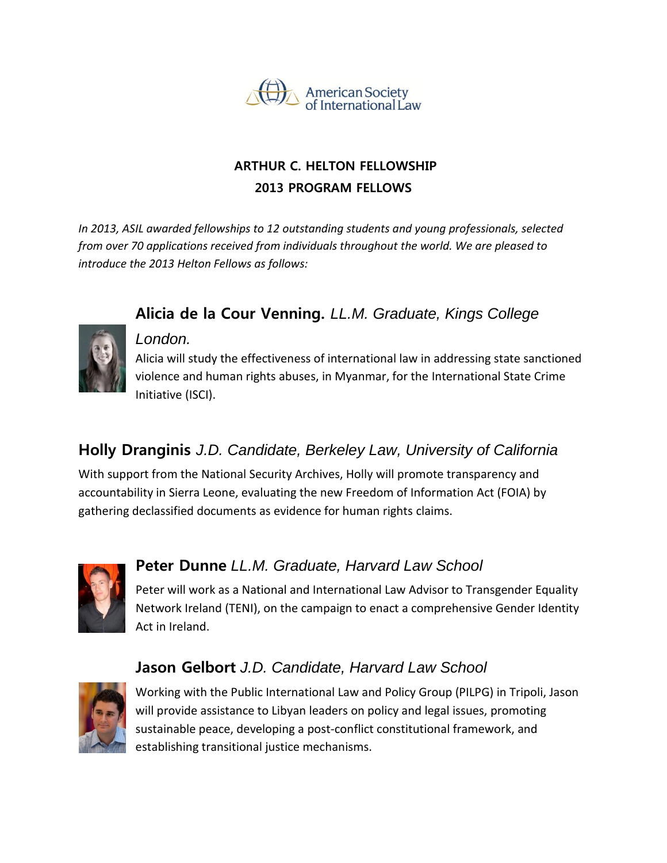

#### **ARTHUR C. HELTON FELLOWSHIP 2013 PROGRAM FELLOWS**

**Alicia de la Cour Venning.** *LL.M. Graduate, Kings College* 

*In 2013, ASIL awarded fellowships to 12 outstanding students and young professionals, selected from over 70 applications received from individuals throughout the world. We are pleased to introduce the 2013 Helton Fellows as follows:*



#### *London.*

Alicia will study the effectiveness of international law in addressing state sanctioned violence and human rights abuses, in Myanmar, for the International State Crime Initiative (ISCI).

### **Holly Dranginis** *J.D. Candidate, Berkeley Law, University of California*

With support from the National Security Archives, Holly will promote transparency and accountability in Sierra Leone, evaluating the new Freedom of Information Act (FOIA) by gathering declassified documents as evidence for human rights claims.



### **Peter Dunne** *LL.M. Graduate, Harvard Law School*

Peter will work as a National and International Law Advisor to Transgender Equality Network Ireland (TENI), on the campaign to enact a comprehensive Gender Identity Act in Ireland.

## **Jason Gelbort** *J.D. Candidate, Harvard Law School*



Working with the Public International Law and Policy Group (PILPG) in Tripoli, Jason will provide assistance to Libyan leaders on policy and legal issues, promoting sustainable peace, developing a post-conflict constitutional framework, and establishing transitional justice mechanisms.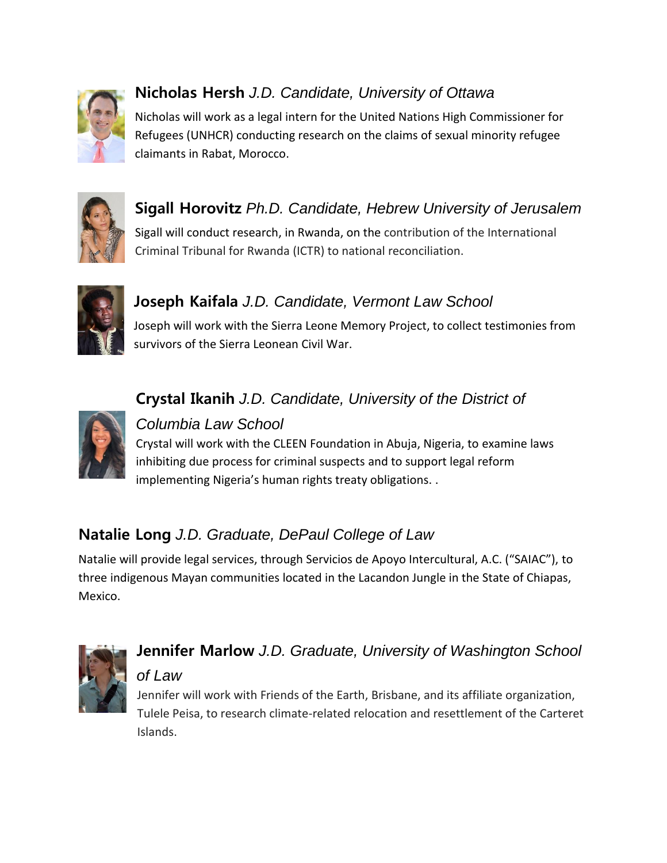

# **Nicholas Hersh** *J.D. Candidate, University of Ottawa*

Nicholas will work as a legal intern for the United Nations High Commissioner for Refugees (UNHCR) conducting research on the claims of sexual minority refugee claimants in Rabat, Morocco.



# **Sigall Horovitz** *Ph.D. Candidate, Hebrew University of Jerusalem*

Sigall will conduct research, in Rwanda, on the contribution of the International Criminal Tribunal for Rwanda (ICTR) to national reconciliation.



### **Joseph Kaifala** *J.D. Candidate, Vermont Law School*

Joseph will work with the Sierra Leone Memory Project, to collect testimonies from survivors of the Sierra Leonean Civil War.



#### *Columbia Law School*

Crystal will work with the CLEEN Foundation in Abuja, Nigeria, to examine laws inhibiting due process for criminal suspects and to support legal reform implementing Nigeria's human rights treaty obligations. .

**Crystal Ikanih** *J.D. Candidate, University of the District of* 

## **Natalie Long** *J.D. Graduate, DePaul College of Law*

Natalie will provide legal services, through Servicios de Apoyo Intercultural, A.C. ("SAIAC"), to three indigenous Mayan communities located in the Lacandon Jungle in the State of Chiapas, Mexico.



# **Jennifer Marlow** *J.D. Graduate, University of Washington School of Law*

Jennifer will work with Friends of the Earth, Brisbane, and its affiliate organization, Tulele Peisa, to research climate-related relocation and resettlement of the Carteret Islands.